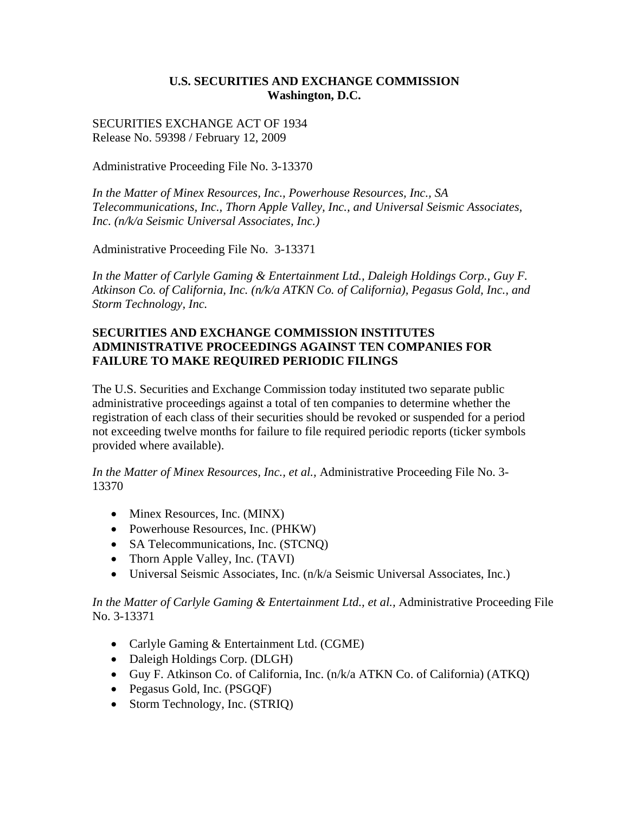## **U.S. SECURITIES AND EXCHANGE COMMISSION Washington, D.C.**

SECURITIES EXCHANGE ACT OF 1934 Release No. 59398 / February 12, 2009

Administrative Proceeding File No. 3-13370

*In the Matter of Minex Resources, Inc., Powerhouse Resources, Inc., SA Telecommunications, Inc., Thorn Apple Valley, Inc., and Universal Seismic Associates, Inc. (n/k/a Seismic Universal Associates, Inc.)* 

Administrative Proceeding File No. 3-13371

*In the Matter of Carlyle Gaming & Entertainment Ltd., Daleigh Holdings Corp., Guy F. Atkinson Co. of California, Inc. (n/k/a ATKN Co. of California), Pegasus Gold, Inc., and Storm Technology, Inc.* 

## **SECURITIES AND EXCHANGE COMMISSION INSTITUTES ADMINISTRATIVE PROCEEDINGS AGAINST TEN COMPANIES FOR FAILURE TO MAKE REQUIRED PERIODIC FILINGS**

The U.S. Securities and Exchange Commission today instituted two separate public administrative proceedings against a total of ten companies to determine whether the registration of each class of their securities should be revoked or suspended for a period not exceeding twelve months for failure to file required periodic reports (ticker symbols provided where available).

*In the Matter of Minex Resources, Inc., et al.,* Administrative Proceeding File No. 3- 13370

- Minex Resources, Inc. (MINX)
- Powerhouse Resources, Inc. (PHKW)
- SA Telecommunications, Inc. (STCNQ)
- Thorn Apple Valley, Inc. (TAVI)
- Universal Seismic Associates, Inc. (n/k/a Seismic Universal Associates, Inc.)

## *In the Matter of Carlyle Gaming & Entertainment Ltd., et al.,* Administrative Proceeding File No. 3-13371

- Carlyle Gaming & Entertainment Ltd. (CGME)
- Daleigh Holdings Corp. (DLGH)
- Guy F. Atkinson Co. of California, Inc. (n/k/a ATKN Co. of California) (ATKQ)
- Pegasus Gold, Inc. (PSGQF)
- Storm Technology, Inc. (STRIQ)